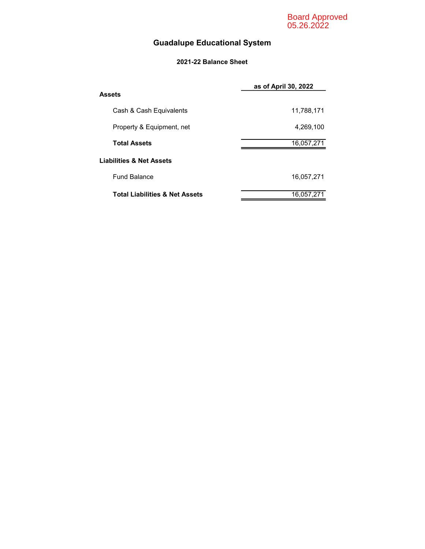Board Approved 05.26.2022

## Guadalupe Educational System

#### 2021-22 Balance Sheet

|                                           | as of April 30, 2022 |
|-------------------------------------------|----------------------|
| Assets                                    |                      |
| Cash & Cash Equivalents                   | 11,788,171           |
| Property & Equipment, net                 | 4,269,100            |
| <b>Total Assets</b>                       | 16,057,271           |
| <b>Liabilities &amp; Net Assets</b>       |                      |
| <b>Fund Balance</b>                       | 16,057,271           |
| <b>Total Liabilities &amp; Net Assets</b> | 16,057,271           |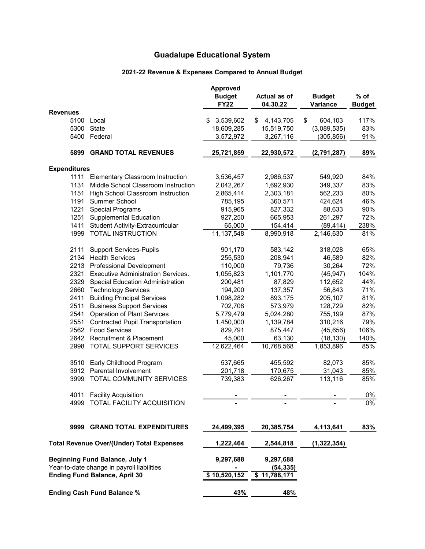## 2021-22 Revenue & Expenses Compared to Annual Budget

|                     |                                                  | <b>Approved</b><br><b>Budget</b><br><b>FY22</b> | Actual as of<br>04.30.22 | <b>Budget</b><br>Variance | % of<br><b>Budget</b> |
|---------------------|--------------------------------------------------|-------------------------------------------------|--------------------------|---------------------------|-----------------------|
| <b>Revenues</b>     |                                                  |                                                 |                          |                           |                       |
| 5100                | Local                                            | 3,539,602<br>S                                  | 4, 143, 705<br>S         | \$<br>604,103             | 117%                  |
| 5300                | State                                            | 18,609,285                                      | 15,519,750               | (3,089,535)               | 83%                   |
| 5400                | Federal                                          | 3,572,972                                       | 3,267,116                | (305, 856)                | 91%                   |
| 5899                | <b>GRAND TOTAL REVENUES</b>                      | 25,721,859                                      | 22,930,572               | (2,791,287)               | 89%                   |
| <b>Expenditures</b> |                                                  |                                                 |                          |                           |                       |
| 1111                | Elementary Classroom Instruction                 | 3,536,457                                       | 2,986,537                | 549,920                   | 84%                   |
| 1131                | Middle School Classroom Instruction              | 2,042,267                                       | 1,692,930                | 349,337                   | 83%                   |
| 1151                | High School Classroom Instruction                | 2,865,414                                       | 2,303,181                | 562,233                   | 80%                   |
| 1191                | Summer School                                    | 785,195                                         | 360,571                  | 424,624                   | 46%                   |
| 1221                | <b>Special Programs</b>                          | 915,965                                         | 827,332                  | 88,633                    | 90%                   |
| 1251                | <b>Supplemental Education</b>                    | 927,250                                         | 665,953                  | 261,297                   | 72%                   |
| 1411                | <b>Student Activity-Extracurricular</b>          | 65,000                                          | 154,414                  | (89, 414)                 | 238%                  |
| 1999                | <b>TOTAL INSTRUCTION</b>                         | 11, 137, 548                                    | 8,990,918                | 2,146,630                 | 81%                   |
| 2111                | <b>Support Services-Pupils</b>                   | 901,170                                         | 583,142                  | 318,028                   | 65%                   |
| 2134                | <b>Health Services</b>                           | 255,530                                         | 208,941                  | 46,589                    | 82%                   |
| 2213                | <b>Professional Development</b>                  | 110,000                                         | 79,736                   | 30,264                    | 72%                   |
| 2321                | <b>Executive Administration Services.</b>        | 1,055,823                                       | 1,101,770                | (45, 947)                 | 104%                  |
| 2329                | Special Education Administration                 | 200,481                                         | 87,829                   | 112,652                   | 44%                   |
| 2660                | <b>Technology Services</b>                       | 194,200                                         | 137,357                  | 56,843                    | 71%                   |
| 2411                | <b>Building Principal Services</b>               | 1,098,282                                       | 893,175                  | 205,107                   | 81%                   |
| 2511                | <b>Business Support Services</b>                 | 702,708                                         | 573,979                  | 128,729                   | 82%                   |
| 2541                | <b>Operation of Plant Services</b>               | 5,779,479                                       | 5,024,280                | 755,199                   | 87%                   |
| 2551                | <b>Contracted Pupil Transportation</b>           | 1,450,000                                       | 1,139,784                | 310,216                   | 79%                   |
| 2562                | <b>Food Services</b>                             | 829,791                                         | 875,447                  | (45, 656)                 | 106%                  |
|                     | 2642 Recruitment & Placement                     | 45,000                                          | 63,130                   | (18, 130)                 | 140%                  |
| 2998                | <b>TOTAL SUPPORT SERVICES</b>                    | 12,622,464                                      | 10,768,568               | 1,853,896                 | 85%                   |
|                     | 3510 Early Childhood Program                     | 537,665                                         | 455,592                  | 82,073                    | 85%                   |
|                     | 3912 Parental Involvement                        | 201,718                                         | 170,675                  | 31,043                    | 85%                   |
| 3999                | TOTAL COMMUNITY SERVICES                         | 739,383                                         | 626,267                  | 113,116                   | 85%                   |
|                     | 4011 Facility Acquisition                        |                                                 |                          |                           | $0\%$                 |
|                     | 4999 TOTAL FACILITY ACQUISITION                  |                                                 |                          |                           | 0%                    |
|                     | 9999 GRAND TOTAL EXPENDITURES                    | 24,499,395                                      | 20,385,754               | 4,113,641                 | 83%                   |
|                     | <b>Total Revenue Over/(Under) Total Expenses</b> | 1,222,464                                       | 2,544,818                | (1,322,354)               |                       |
|                     | <b>Beginning Fund Balance, July 1</b>            | 9,297,688                                       | 9,297,688                |                           |                       |
|                     | Year-to-date change in payroll liabilities       |                                                 | (54, 335)                |                           |                       |
|                     | <b>Ending Fund Balance, April 30</b>             | \$10,520,152                                    | \$11,788,171             |                           |                       |
|                     | <b>Ending Cash Fund Balance %</b>                | 43%                                             | 48%                      |                           |                       |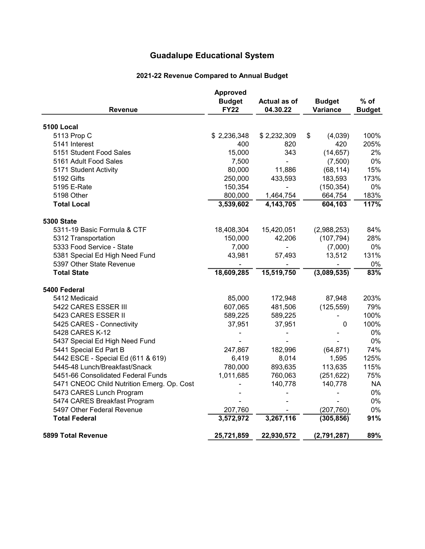## 2021-22 Revenue Compared to Annual Budget

| <b>Revenue</b>                             | Approved<br><b>Budget</b><br><b>FY22</b> | Actual as of<br>04.30.22 | <b>Budget</b><br>Variance | $%$ of<br><b>Budget</b> |
|--------------------------------------------|------------------------------------------|--------------------------|---------------------------|-------------------------|
| <b>5100 Local</b>                          |                                          |                          |                           |                         |
| 5113 Prop C                                | \$2,236,348                              | \$2,232,309              | \$<br>(4,039)             | 100%                    |
| 5141 Interest                              | 400                                      | 820                      | 420                       | 205%                    |
| 5151 Student Food Sales                    | 15,000                                   | 343                      | (14, 657)                 | 2%                      |
| 5161 Adult Food Sales                      | 7,500                                    |                          | (7,500)                   | 0%                      |
| 5171 Student Activity                      | 80,000                                   | 11,886                   | (68, 114)                 | 15%                     |
| 5192 Gifts                                 | 250,000                                  | 433,593                  | 183,593                   | 173%                    |
| 5195 E-Rate                                | 150,354                                  |                          | (150, 354)                | 0%                      |
| 5198 Other                                 | 800,000                                  | 1,464,754                | 664,754                   | 183%                    |
| <b>Total Local</b>                         | 3,539,602                                | 4,143,705                | 604,103                   | 117%                    |
| <b>5300 State</b>                          |                                          |                          |                           |                         |
| 5311-19 Basic Formula & CTF                | 18,408,304                               | 15,420,051               | (2,988,253)               | 84%                     |
| 5312 Transportation                        | 150,000                                  | 42,206                   | (107, 794)                | 28%                     |
| 5333 Food Service - State                  | 7,000                                    |                          | (7,000)                   | $0\%$                   |
| 5381 Special Ed High Need Fund             | 43,981                                   | 57,493                   | 13,512                    | 131%                    |
| 5397 Other State Revenue                   |                                          |                          |                           | 0%                      |
| <b>Total State</b>                         | 18,609,285                               | 15,519,750               | (3,089,535)               | 83%                     |
| 5400 Federal                               |                                          |                          |                           |                         |
| 5412 Medicaid                              | 85,000                                   | 172,948                  | 87,948                    | 203%                    |
| 5422 CARES ESSER III                       | 607,065                                  | 481,506                  | (125, 559)                | 79%                     |
| 5423 CARES ESSER II                        | 589,225                                  | 589,225                  | $\overline{\phantom{0}}$  | 100%                    |
| 5425 CARES - Connectivity                  | 37,951                                   | 37,951                   | 0                         | 100%                    |
| 5428 CARES K-12                            |                                          |                          |                           | 0%                      |
| 5437 Special Ed High Need Fund             |                                          |                          |                           | 0%                      |
| 5441 Special Ed Part B                     | 247,867                                  | 182,996                  | (64, 871)                 | 74%                     |
| 5442 ESCE - Special Ed (611 & 619)         | 6,419                                    | 8,014                    | 1,595                     | 125%                    |
| 5445-48 Lunch/Breakfast/Snack              | 780,000                                  | 893,635                  | 113,635                   | 115%                    |
| 5451-66 Consolidated Federal Funds         | 1,011,685                                | 760,063                  | (251, 622)                | 75%                     |
| 5471 CNEOC Child Nutrition Emerg. Op. Cost |                                          | 140,778                  | 140,778                   | <b>NA</b>               |
| 5473 CARES Lunch Program                   |                                          |                          |                           | 0%                      |
| 5474 CARES Breakfast Program               |                                          |                          |                           | 0%                      |
| 5497 Other Federal Revenue                 | 207,760                                  |                          | (207, 760)                | 0%                      |
| <b>Total Federal</b>                       | 3,572,972                                | 3,267,116                | (305, 856)                | 91%                     |
| 5899 Total Revenue                         | 25,721,859                               | 22,930,572               | (2,791,287)               | 89%                     |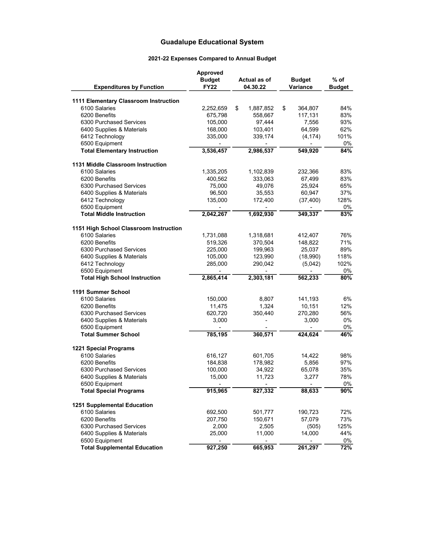| <b>Expenditures by Function</b>                         | Approved<br><b>Budget</b><br><b>FY22</b> | Actual as of<br>04.30.22 | <b>Budget</b><br>Variance | % of<br><b>Budget</b> |
|---------------------------------------------------------|------------------------------------------|--------------------------|---------------------------|-----------------------|
| 1111 Elementary Classroom Instruction                   |                                          |                          |                           |                       |
| 6100 Salaries                                           | 2,252,659                                | \$<br>1,887,852          | \$<br>364,807             | 84%                   |
| 6200 Benefits                                           | 675,798                                  | 558,667                  | 117,131                   | 83%                   |
| 6300 Purchased Services                                 | 105,000                                  | 97,444                   | 7,556                     | 93%                   |
| 6400 Supplies & Materials                               | 168,000                                  | 103,401                  | 64,599                    | 62%                   |
| 6412 Technology                                         | 335,000                                  | 339,174                  | (4, 174)                  | 101%                  |
| 6500 Equipment                                          |                                          |                          |                           | 0%                    |
| <b>Total Elementary Instruction</b>                     | 3,536,457                                | 2,986,537                | 549,920                   | 84%                   |
| 1131 Middle Classroom Instruction                       |                                          |                          |                           |                       |
| 6100 Salaries                                           | 1,335,205                                | 1,102,839                | 232,366                   | 83%                   |
| 6200 Benefits                                           | 400,562                                  | 333,063                  | 67,499                    | 83%                   |
| 6300 Purchased Services                                 | 75,000                                   | 49,076                   | 25,924                    | 65%                   |
| 6400 Supplies & Materials                               | 96,500                                   | 35,553                   | 60,947                    | 37%                   |
| 6412 Technology                                         | 135,000                                  | 172,400                  | (37, 400)                 | 128%                  |
| 6500 Equipment                                          |                                          |                          |                           | 0%                    |
| <b>Total Middle Instruction</b>                         | 2,042,267                                | 1,692,930                | 349,337                   | 83%                   |
|                                                         |                                          |                          |                           |                       |
| 1151 High School Classroom Instruction<br>6100 Salaries | 1,731,088                                |                          | 412,407                   | 76%                   |
| 6200 Benefits                                           | 519,326                                  | 1,318,681<br>370,504     | 148,822                   | 71%                   |
| 6300 Purchased Services                                 | 225,000                                  | 199,963                  | 25,037                    | 89%                   |
| 6400 Supplies & Materials                               | 105,000                                  | 123,990                  | (18,990)                  | 118%                  |
| 6412 Technology                                         | 285,000                                  | 290,042                  | (5,042)                   | 102%                  |
| 6500 Equipment                                          |                                          |                          |                           | 0%                    |
| <b>Total High School Instruction</b>                    | 2,865,414                                | 2,303,181                | 562,233                   | 80%                   |
|                                                         |                                          |                          |                           |                       |
| 1191 Summer School                                      |                                          |                          |                           |                       |
| 6100 Salaries                                           | 150,000                                  | 8,807                    | 141,193                   | 6%                    |
| 6200 Benefits<br>6300 Purchased Services                | 11,475                                   | 1,324                    | 10,151                    | 12%                   |
|                                                         | 620,720                                  | 350,440                  | 270,280                   | 56%                   |
| 6400 Supplies & Materials                               | 3,000                                    |                          | 3,000                     | 0%<br>0%              |
| 6500 Equipment<br><b>Total Summer School</b>            | ٠<br>785,195                             | 360,571                  | ۰<br>424,624              | 46%                   |
|                                                         |                                          |                          |                           |                       |
| <b>1221 Special Programs</b>                            |                                          |                          |                           |                       |
| 6100 Salaries                                           | 616,127                                  | 601,705                  | 14,422                    | 98%                   |
| 6200 Benefits                                           | 184,838                                  | 178,982                  | 5,856                     | 97%                   |
| 6300 Purchased Services                                 | 100,000                                  | 34,922                   | 65,078                    | 35%                   |
| 6400 Supplies & Materials<br>6500 Equipment             | 15,000                                   | 11,723                   | 3,277                     | 78%<br>0%             |
| <b>Total Special Programs</b>                           | 915,965                                  | 827,332                  | 88,633                    | 90%                   |
|                                                         |                                          |                          |                           |                       |
| 1251 Supplemental Education                             |                                          |                          |                           |                       |
| 6100 Salaries                                           | 692,500                                  | 501,777                  | 190,723                   | 72%                   |
| 6200 Benefits                                           | 207,750                                  | 150,671                  | 57,079                    | 73%                   |
| 6300 Purchased Services                                 | 2,000                                    | 2,505                    | (505)                     | 125%                  |
| 6400 Supplies & Materials<br>6500 Equipment             | 25,000                                   | 11,000                   | 14,000                    | 44%<br>0%             |
| <b>Total Supplemental Education</b>                     | 927,250                                  | 665,953                  | 261,297                   | 72%                   |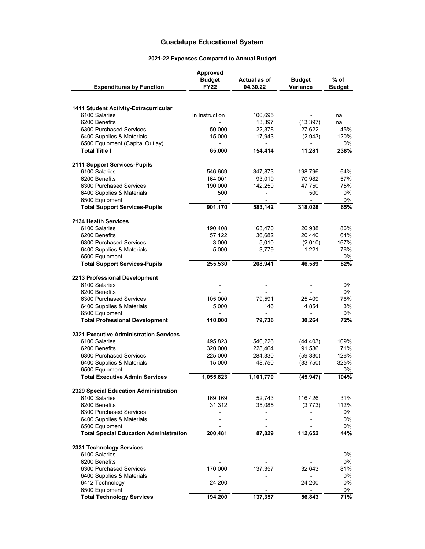| <b>Expenditures by Function</b>                              | <b>Approved</b><br><b>Budget</b><br><b>FY22</b> | <b>Actual as of</b><br>04.30.22 | <b>Budget</b><br>Variance | $%$ of<br><b>Budget</b> |
|--------------------------------------------------------------|-------------------------------------------------|---------------------------------|---------------------------|-------------------------|
|                                                              |                                                 |                                 |                           |                         |
| <b>1411 Student Activity-Extracurricular</b>                 |                                                 |                                 |                           |                         |
| 6100 Salaries                                                | In Instruction                                  | 100,695                         |                           | na                      |
| 6200 Benefits                                                |                                                 | 13,397                          | (13, 397)                 | na                      |
| 6300 Purchased Services                                      | 50,000                                          | 22,378                          | 27,622                    | 45%<br>120%             |
| 6400 Supplies & Materials<br>6500 Equipment (Capital Outlay) | 15,000                                          | 17,943                          | (2,943)                   | 0%                      |
| <b>Total Title I</b>                                         | 65,000                                          | 154,414                         | 11,281                    | 238%                    |
| 2111 Support Services-Pupils                                 |                                                 |                                 |                           |                         |
| 6100 Salaries                                                | 546,669                                         | 347,873                         | 198,796                   | 64%                     |
| 6200 Benefits                                                | 164,001                                         | 93,019                          | 70,982                    | 57%                     |
| 6300 Purchased Services                                      | 190,000                                         | 142,250                         | 47,750                    | 75%                     |
| 6400 Supplies & Materials                                    | 500                                             |                                 | 500                       | 0%                      |
| 6500 Equipment                                               | $\frac{1}{2}$                                   |                                 |                           | 0%                      |
| <b>Total Support Services-Pupils</b>                         | 901,170                                         | 583,142                         | 318,028                   | 65%                     |
| 2134 Health Services                                         |                                                 |                                 |                           |                         |
| 6100 Salaries                                                | 190,408                                         | 163,470                         | 26,938                    | 86%                     |
| 6200 Benefits                                                | 57,122                                          | 36,682                          | 20,440                    | 64%                     |
| 6300 Purchased Services                                      | 3,000                                           | 5,010                           | (2,010)                   | 167%                    |
| 6400 Supplies & Materials                                    | 5,000                                           | 3,779                           | 1,221                     | 76%<br>$0\%$            |
| 6500 Equipment<br><b>Total Support Services-Pupils</b>       | 255,530                                         | 208,941                         | 46,589                    | 82%                     |
| 2213 Professional Development                                |                                                 |                                 |                           |                         |
| 6100 Salaries                                                |                                                 |                                 |                           | $0\%$                   |
| 6200 Benefits                                                |                                                 |                                 |                           | $0\%$                   |
| 6300 Purchased Services                                      | 105,000                                         | 79,591                          | 25,409                    | 76%                     |
| 6400 Supplies & Materials                                    | 5,000                                           | 146                             | 4,854                     | 3%                      |
| 6500 Equipment                                               |                                                 |                                 |                           | 0%                      |
| <b>Total Professional Development</b>                        | 110,000                                         | 79,736                          | 30,264                    | 72%                     |
| 2321 Executive Administration Services                       |                                                 |                                 |                           |                         |
| 6100 Salaries                                                | 495,823                                         | 540,226                         | (44, 403)                 | 109%                    |
| 6200 Benefits                                                | 320,000                                         | 228,464                         | 91,536                    | 71%                     |
| 6300 Purchased Services                                      | 225,000                                         | 284,330                         | (59, 330)                 | 126%                    |
| 6400 Supplies & Materials<br>6500 Equipment                  | 15,000                                          | 48,750                          | (33, 750)                 | 325%<br>0%              |
| <b>Total Executive Admin Services</b>                        | 1,055,823                                       | 1,101,770                       | (45, 947)                 | 104%                    |
|                                                              |                                                 |                                 |                           |                         |
| 2329 Special Education Administration<br>6100 Salaries       |                                                 |                                 | 116,426                   | 31%                     |
| 6200 Benefits                                                | 169,169<br>31,312                               | 52,743<br>35,085                | (3, 773)                  | 112%                    |
| 6300 Purchased Services                                      | ٠                                               | -                               |                           | 0%                      |
| 6400 Supplies & Materials                                    |                                                 |                                 |                           | 0%                      |
| 6500 Equipment                                               |                                                 |                                 |                           | 0%                      |
| <b>Total Special Education Administration</b>                | 200,481                                         | 87,829                          | 112,652                   | 44%                     |
| 2331 Technology Services                                     |                                                 |                                 |                           |                         |
| 6100 Salaries                                                |                                                 |                                 |                           | 0%                      |
| 6200 Benefits                                                |                                                 |                                 |                           | 0%                      |
| 6300 Purchased Services                                      | 170,000                                         | 137,357                         | 32,643                    | 81%                     |
| 6400 Supplies & Materials                                    |                                                 |                                 |                           | 0%                      |
| 6412 Technology                                              | 24,200                                          |                                 | 24,200                    | 0%                      |
| 6500 Equipment                                               |                                                 |                                 |                           | 0%                      |
| <b>Total Technology Services</b>                             | 194,200                                         | 137,357                         | 56,843                    | 71%                     |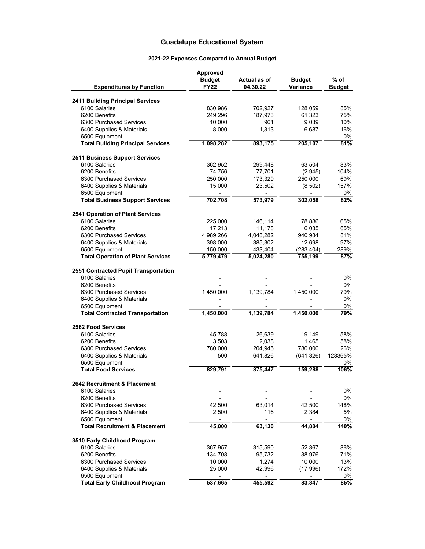| <b>Expenditures by Function</b>                            | Approved<br><b>Budget</b><br><b>FY22</b> | Actual as of<br>04.30.22            | <b>Budget</b><br><b>Variance</b>  | % of<br><b>Budget</b> |
|------------------------------------------------------------|------------------------------------------|-------------------------------------|-----------------------------------|-----------------------|
| <b>2411 Building Principal Services</b>                    |                                          |                                     |                                   |                       |
| 6100 Salaries                                              | 830,986                                  | 702,927                             | 128,059                           | 85%                   |
| 6200 Benefits                                              | 249,296                                  | 187,973                             | 61,323                            | 75%                   |
| 6300 Purchased Services                                    | 10,000                                   | 961                                 | 9,039                             | 10%                   |
| 6400 Supplies & Materials                                  | 8,000                                    | 1,313                               | 6,687                             | 16%                   |
| 6500 Equipment                                             |                                          |                                     |                                   | 0%                    |
| <b>Total Building Principal Services</b>                   | 1,098,282                                | 893,175                             | 205,107                           | 81%                   |
| <b>2511 Business Support Services</b>                      |                                          |                                     |                                   |                       |
| 6100 Salaries                                              | 362,952                                  | 299,448                             | 63,504                            | 83%                   |
| 6200 Benefits                                              | 74,756                                   | 77,701                              | (2,945)                           | 104%                  |
| 6300 Purchased Services                                    | 250,000                                  | 173,329                             | 250,000                           | 69%                   |
| 6400 Supplies & Materials                                  | 15,000                                   | 23,502                              | (8,502)                           | 157%                  |
| 6500 Equipment<br><b>Total Business Support Services</b>   | 702,708                                  | 573,979                             | 302,058                           | $0\%$<br>82%          |
|                                                            |                                          |                                     |                                   |                       |
| 2541 Operation of Plant Services                           |                                          |                                     |                                   |                       |
| 6100 Salaries                                              | 225,000                                  | 146,114                             | 78,886                            | 65%                   |
| 6200 Benefits                                              | 17,213                                   | 11,178                              | 6,035                             | 65%                   |
| 6300 Purchased Services                                    | 4,989,266                                | 4,048,282                           | 940,984                           | 81%                   |
| 6400 Supplies & Materials                                  | 398,000                                  | 385,302                             | 12.698                            | 97%                   |
| 6500 Equipment<br><b>Total Operation of Plant Services</b> | 150,000<br>5,779,479                     | 433,404<br>5,024,280                | (283, 404)<br>755,199             | 289%<br>87%           |
|                                                            |                                          |                                     |                                   |                       |
| 2551 Contracted Pupil Transportation<br>6100 Salaries      |                                          |                                     |                                   | 0%                    |
| 6200 Benefits                                              |                                          |                                     |                                   | 0%                    |
| 6300 Purchased Services                                    | 1,450,000                                | 1,139,784                           | 1,450,000                         | 79%                   |
| 6400 Supplies & Materials                                  |                                          |                                     |                                   | 0%                    |
| 6500 Equipment                                             |                                          |                                     |                                   | $0\%$                 |
| <b>Total Contracted Transportation</b>                     | 1,450,000                                | 1,139,784                           | 1,450,000                         | 79%                   |
| 2562 Food Services                                         |                                          |                                     |                                   |                       |
| 6100 Salaries                                              | 45,788                                   | 26,639                              | 19,149                            | 58%                   |
| 6200 Benefits                                              | 3,503                                    | 2,038                               | 1,465                             | 58%                   |
| 6300 Purchased Services                                    | 780,000                                  | 204,945                             | 780,000                           | 26%                   |
| 6400 Supplies & Materials                                  | 500                                      | 641,826                             | (641, 326)                        | 128365%               |
| 6500 Equipment                                             | $\overline{\phantom{a}}$                 |                                     |                                   | 0%                    |
| <b>Total Food Services</b>                                 | 829,791                                  | 875,447                             | 159,288                           | 106%                  |
| 2642 Recruitment & Placement                               |                                          |                                     |                                   |                       |
| 6100 Salaries                                              |                                          |                                     |                                   | 0%                    |
| 6200 Benefits                                              |                                          |                                     |                                   | 0%                    |
| 6300 Purchased Services                                    | 42,500                                   | 63,014                              | 42,500                            | 148%                  |
| 6400 Supplies & Materials<br>6500 Equipment                | 2,500                                    | 116<br>$\qquad \qquad \blacksquare$ | 2,384<br>$\overline{\phantom{a}}$ | 5%<br>0%              |
| <b>Total Recruitment &amp; Placement</b>                   | 45,000                                   | 63,130                              | 44,884                            | 140%                  |
|                                                            |                                          |                                     |                                   |                       |
| 3510 Early Childhood Program                               |                                          |                                     |                                   |                       |
| 6100 Salaries                                              | 367,957                                  | 315,590                             | 52,367                            | 86%                   |
| 6200 Benefits                                              | 134,708                                  | 95,732                              | 38,976                            | 71%                   |
| 6300 Purchased Services                                    | 10,000                                   | 1,274                               | 10,000                            | 13%                   |
| 6400 Supplies & Materials<br>6500 Equipment                | 25,000<br>÷,                             | 42,996<br>٠                         | (17,996)                          | 172%<br>0%            |
| <b>Total Early Childhood Program</b>                       | 537,665                                  | 455,592                             | 83,347                            | 85%                   |
|                                                            |                                          |                                     |                                   |                       |